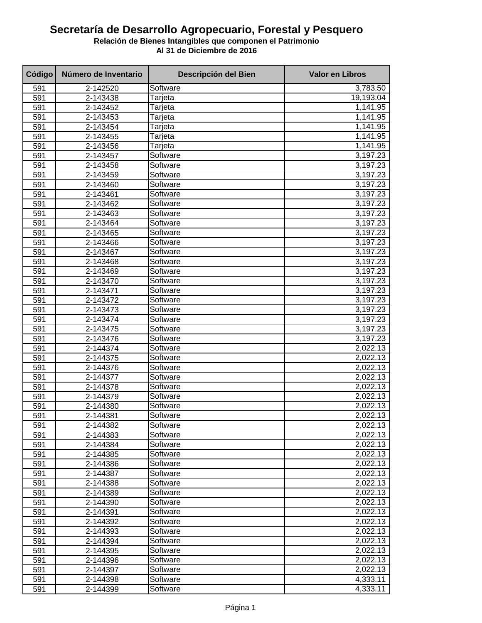## **Secretaría de Desarrollo Agropecuario, Forestal y Pesquero**

**Relación de Bienes Intangibles que componen el Patrimonio Al 31 de Diciembre de 2016**

| Código | Número de Inventario | Descripción del Bien | <b>Valor en Libros</b> |
|--------|----------------------|----------------------|------------------------|
| 591    | 2-142520             | Software             | 3,783.50               |
| 591    | 2-143438             | Tarjeta              | 19,193.04              |
| 591    | 2-143452             | Tarjeta              | 1,141.95               |
| 591    | 2-143453             | Tarjeta              | 1,141.95               |
| 591    | 2-143454             | Tarjeta              | 1,141.95               |
| 591    | 2-143455             | Tarjeta              | 1,141.95               |
| 591    | 2-143456             | Tarjeta              | 1,141.95               |
| 591    | 2-143457             | Software             | 3,197.23               |
| 591    | 2-143458             | Software             | 3,197.23               |
| 591    | 2-143459             | Software             | 3,197.23               |
| 591    | 2-143460             | Software             | 3,197.23               |
| 591    | 2-143461             | Software             | 3,197.23               |
| 591    | 2-143462             | Software             | 3,197.23               |
| 591    | 2-143463             | Software             | 3,197.23               |
| 591    | 2-143464             | Software             | 3,197.23               |
| 591    | 2-143465             | Software             | 3,197.23               |
| 591    | 2-143466             | Software             | 3,197.23               |
| 591    | 2-143467             | Software             | 3,197.23               |
| 591    | 2-143468             | Software             | 3,197.23               |
| 591    | 2-143469             | Software             | 3,197.23               |
| 591    | 2-143470             | Software             | 3,197.23               |
| 591    | 2-143471             | Software             | 3,197.23               |
| 591    | 2-143472             | Software             | 3,197.23               |
| 591    | 2-143473             | Software             | 3,197.23               |
| 591    | 2-143474             | Software             | 3,197.23               |
| 591    | 2-143475             | Software             | 3,197.23               |
| 591    | 2-143476             | Software             | 3,197.23               |
| 591    | 2-144374             | Software             | 2,022.13               |
| 591    | 2-144375             | Software             | 2,022.13               |
| 591    | 2-144376             | Software             | 2,022.13               |
| 591    | 2-144377             | Software             | 2,022.13               |
| 591    | 2-144378             | Software             | 2,022.13               |
| 591    | 2-144379             | Software             | 2,022.13               |
| 591    | 2-144380             | Software             | 2,022.13               |
| 591    | 2-144381             | Software             | 2,022.13               |
| 591    | 2-144382             | Software             | 2,022.13               |
| 591    | 2-144383             | Software             | 2,022.13               |
| 591    | 2-144384             | Software             | 2,022.13               |
| 591    | 2-144385             | Software             | 2,022.13               |
| 591    | 2-144386             | Software             | 2,022.13               |
| 591    | 2-144387             | Software             | 2,022.13               |
| 591    | 2-144388             | Software             | 2,022.13               |
| 591    | 2-144389             | Software             | 2,022.13               |
| 591    | 2-144390             | Software             | 2,022.13               |
| 591    | 2-144391             | Software             | 2,022.13               |
| 591    | 2-144392             | Software             | 2,022.13               |
| 591    | 2-144393             | Software             | 2,022.13               |
| 591    | 2-144394             | Software             | 2,022.13               |
| 591    | 2-144395             | Software             | 2,022.13               |
| 591    | 2-144396             | Software             | 2,022.13               |
| 591    | 2-144397             | Software             | 2,022.13               |
| 591    | 2-144398             | Software             | 4,333.11               |
| 591    | 2-144399             | Software             | 4,333.11               |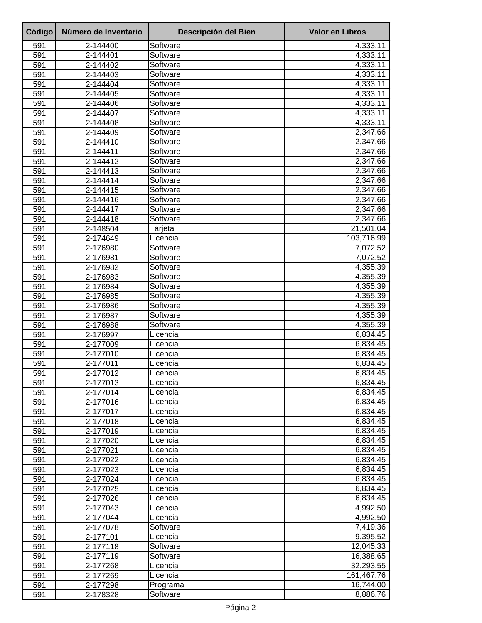| Código     | Número de Inventario | <b>Descripción del Bien</b> | <b>Valor en Libros</b> |
|------------|----------------------|-----------------------------|------------------------|
| 591        | 2-144400             | Software                    | 4,333.11               |
| 591        | 2-144401             | Software                    | 4,333.11               |
| 591        | 2-144402             | Software                    | 4,333.11               |
| 591        | 2-144403             | Software                    | 4,333.11               |
| 591        | 2-144404             | Software                    | 4,333.11               |
| 591        | 2-144405             | Software                    | 4,333.11               |
| 591        | 2-144406             | Software                    | 4,333.11               |
| 591        | 2-144407             | Software                    | 4,333.11               |
| 591        | 2-144408             | Software                    | 4,333.11               |
| 591<br>591 | 2-144409<br>2-144410 | Software<br>Software        | 2,347.66<br>2,347.66   |
| 591        | 2-144411             | Software                    | 2,347.66               |
| 591        | 2-144412             | Software                    | 2,347.66               |
| 591        | 2-144413             | Software                    | 2,347.66               |
| 591        | 2-144414             | Software                    | 2,347.66               |
| 591        | 2-144415             | Software                    | 2,347.66               |
| 591        | 2-144416             | Software                    | 2,347.66               |
| 591        | 2-144417             | Software                    | 2,347.66               |
| 591        | 2-144418             | Software                    | 2,347.66               |
| 591        | 2-148504             | Tarjeta                     | 21,501.04              |
| 591        | 2-174649             | Licencia                    | 103,716.99             |
| 591        | 2-176980             | Software                    | 7,072.52               |
| 591        | 2-176981             | Software                    | 7,072.52               |
| 591        | 2-176982             | Software                    | 4,355.39               |
| 591        | 2-176983             | Software                    | 4,355.39               |
| 591        | 2-176984             | Software                    | 4,355.39               |
| 591        | 2-176985             | Software                    | 4,355.39               |
| 591        | 2-176986             | Software                    | 4,355.39               |
| 591<br>591 | 2-176987             | Software<br>Software        | 4,355.39<br>4,355.39   |
| 591        | 2-176988<br>2-176997 | Licencia                    | 6,834.45               |
| 591        | 2-177009             | Licencia                    | 6,834.45               |
| 591        | 2-177010             | Licencia                    | 6,834.45               |
| 591        | 2-177011             | Licencia                    | 6,834.45               |
| 591        | 2-177012             | Licencia                    | 6,834.45               |
| 591        | 2-177013             | Licencia                    | 6,834.45               |
| 591        | 2-177014             | Licencia                    | 6,834.45               |
| 591        | 2-177016             | Licencia                    | 6,834.45               |
| 591        | 2-177017             | Licencia                    | 6,834.45               |
| 591        | 2-177018             | Licencia                    | 6,834.45               |
| 591        | 2-177019             | Licencia                    | 6,834.45               |
| 591        | 2-177020             | Licencia                    | 6,834.45               |
| 591        | 2-177021             | Licencia                    | 6,834.45               |
| 591        | 2-177022             | Licencia                    | 6,834.45               |
| 591        | 2-177023             | Licencia                    | 6,834.45               |
| 591        | 2-177024             | Licencia                    | 6,834.45               |
| 591        | 2-177025             | Licencia                    | 6,834.45               |
| 591<br>591 | 2-177026<br>2-177043 | Licencia<br>Licencia        | 6,834.45<br>4,992.50   |
| 591        | 2-177044             | Licencia                    | 4,992.50               |
| 591        | 2-177078             | Software                    | 7,419.36               |
| 591        | 2-177101             | Licencia                    | 9,395.52               |
| 591        | 2-177118             | Software                    | 12,045.33              |
| 591        | 2-177119             | Software                    | 16,388.65              |
| 591        | 2-177268             | Licencia                    | 32,293.55              |
| 591        | 2-177269             | Licencia                    | 161,467.76             |
| 591        | 2-177298             | Programa                    | 16,744.00              |
| 591        | 2-178328             | Software                    | 8,886.76               |